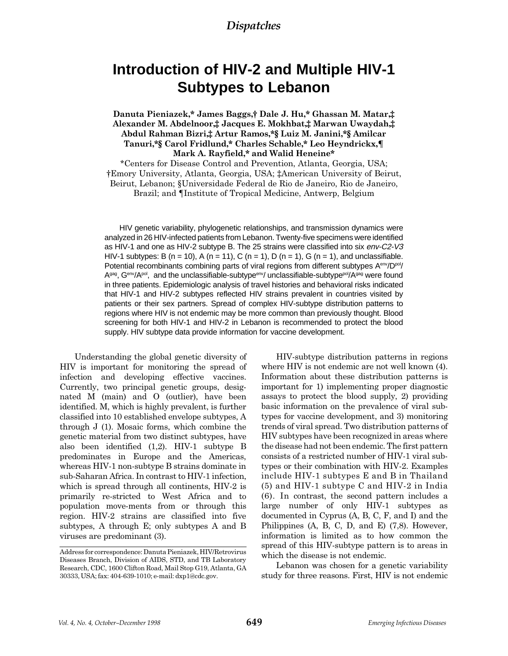# **Introduction of HIV-2 and Multiple HIV-1 Subtypes to Lebanon**

## Danuta Pieniazek,\* James Baggs,† Dale J. Hu,\* Ghassan M. Matar,‡ Alexander M. Abdelnoor, Jacques E. Mokhbat, Marwan Uwaydah, Abdul Rahman Bizri,# Artur Ramos,\*§ Luiz M. Janini,\*§ Amilcar Tanuri,\*§ Carol Fridlund,\* Charles Schable,\* Leo Heyndrickx,¶ Mark A. Rayfield,\* and Walid Heneine\*

\*Centers for Disease Control and Prevention, Atlanta, Georgia, USA; Emory University, Atlanta, Georgia, USA; American University of Beirut, Beirut, Lebanon; §Universidade Federal de Rio de Janeiro, Rio de Janeiro, Brazil; and ¶Institute of Tropical Medicine, Antwerp, Belgium

HIV genetic variability, phylogenetic relationships, and transmission dynamics were analyzed in 26 HIV-infected patients from Lebanon. Twenty-five specimens were identified as HIV-1 and one as HIV-2 subtype B. The 25 strains were classified into six env-C2-V3 HIV-1 subtypes: B (n = 10), A (n = 11), C (n = 1), D (n = 1), G (n = 1), and unclassifiable. Potential recombinants combining parts of viral regions from different subtypes A<sup>env</sup>/D<sup>pol</sup>/ Agag, Genv/Apol, and the unclassifiable-subtype<sup>env</sup>/ unclassifiable-subtype<sup>pol</sup>/Agag were found in three patients. Epidemiologic analysis of travel histories and behavioral risks indicated that HIV-1 and HIV-2 subtypes reflected HIV strains prevalent in countries visited by patients or their sex partners. Spread of complex HIV-subtype distribution patterns to regions where HIV is not endemic may be more common than previously thought. Blood screening for both HIV-1 and HIV-2 in Lebanon is recommended to protect the blood supply. HIV subtype data provide information for vaccine development.

Understanding the global genetic diversity of HIV is important for monitoring the spread of infection and developing effective vaccines. Currently, two principal genetic groups, designated M (main) and O (outlier), have been identified. M, which is highly prevalent, is further classified into 10 established envelope subtypes, A through J (1). Mosaic forms, which combine the genetic material from two distinct subtypes, have also been identified (1,2). HIV-1 subtype B predominates in Europe and the Americas, whereas HIV-1 non-subtype B strains dominate in sub-Saharan Africa. In contrast to HIV-1 infection, which is spread through all continents, HIV-2 is primarily re-stricted to West Africa and to population move-ments from or through this region. HIV-2 strains are classified into five subtypes, A through E; only subtypes A and B viruses are predominant (3).

HIV-subtype distribution patterns in regions where HIV is not endemic are not well known (4). Information about these distribution patterns is important for 1) implementing proper diagnostic assays to protect the blood supply, 2) providing basic information on the prevalence of viral subtypes for vaccine development, and 3) monitoring trends of viral spread. Two distribution patterns of HIV subtypes have been recognized in areas where the disease had not been endemic. The first pattern consists of a restricted number of HIV-1 viral subtypes or their combination with HIV-2. Examples include HIV-1 subtypes E and B in Thailand (5) and HIV-1 subtype C and HIV-2 in India (6). In contrast, the second pattern includes a large number of only HIV-1 subtypes as documented in Cyprus (A, B, C, F, and I) and the Philippines (A, B, C, D, and E) (7,8). However, information is limited as to how common the spread of this HIV-subtype pattern is to areas in which the disease is not endemic.

Lebanon was chosen for a genetic variability study for three reasons. First, HIV is not endemic

Address for correspondence: Danuta Pieniazek, HIV/Retrovirus Diseases Branch, Division of AIDS, STD, and TB Laboratory Research, CDC, 1600 Clifton Road, Mail Stop G19, Atlanta, GA 30333, USA; fax: 404-639-1010; e-mail: dxp1@cdc.gov.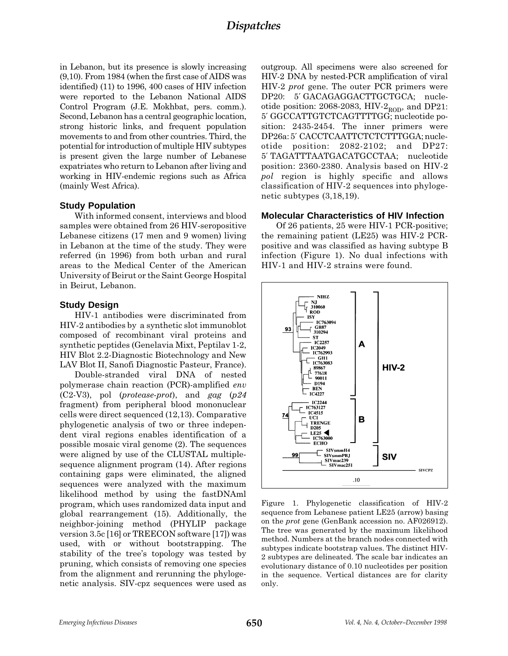in Lebanon, but its presence is slowly increasing (9,10). From 1984 (when the first case of AIDS was identified) (11) to 1996, 400 cases of HIV infection were reported to the Lebanon National AIDS Control Program (J.E. Mokhbat, pers. comm.). Second, Lebanon has a central geographic location, strong historic links, and frequent population movements to and from other countries. Third, the potential for introduction of multiple HIV subtypes is present given the large number of Lebanese expatriates who return to Lebanon after living and working in HIV-endemic regions such as Africa (mainly West Africa).

### **Study Population**

With informed consent, interviews and blood samples were obtained from 26 HIV-seropositive Lebanese citizens (17 men and 9 women) living in Lebanon at the time of the study. They were referred (in 1996) from both urban and rural areas to the Medical Center of the American University of Beirut or the Saint George Hospital in Beirut, Lebanon.

### **Study Design**

HIV-1 antibodies were discriminated from HIV-2 antibodies by a synthetic slot immunoblot composed of recombinant viral proteins and synthetic peptides (Genelavia Mixt, Peptilav 1-2, HIV Blot 2.2-Diagnostic Biotechnology and New LAV Blot II, Sanofi Diagnostic Pasteur, France).

Double-stranded viral DNA of nested polymerase chain reaction (PCR)-amplified env  $(C2-V3)$ , pol (*protease-prot*), and *gag* (*p24* fragment) from peripheral blood mononuclear cells were direct sequenced (12,13). Comparative phylogenetic analysis of two or three independent viral regions enables identification of a possible mosaic viral genome (2). The sequences were aligned by use of the CLUSTAL multiplesequence alignment program (14). After regions containing gaps were eliminated, the aligned sequences were analyzed with the maximum likelihood method by using the fastDNAml program, which uses randomized data input and global rearrangement (15). Additionally, the neighbor-joining method (PHYLIP package version 3.5c [16] or TREECON software [17]) was used, with or without bootstrapping. The stability of the tree's topology was tested by pruning, which consists of removing one species from the alignment and rerunning the phylogenetic analysis. SIV-cpz sequences were used as outgroup. All specimens were also screened for HIV-2 DNA by nested-PCR amplification of viral HIV-2 prot gene. The outer PCR primers were DP20: 5' GACAGAGGACTTGCTGCA; nucleotide position: 2068-2083, HIV- $2_{\text{ROD}}$ , and DP21: 5′ GGCCATTGTCTCAGTTTTGG; nucleotide position: 2435-2454. The inner primers were DP26a: 5′ CACCTCAATTCTCTCTTTGGA; nucleotide position: 2082-2102; and DP27: 5′ TAGATTTAATGACATGCCTAA; nucleotide position: 2360-2380. Analysis based on HIV-2 pol region is highly specific and allows classification of HIV-2 sequences into phylogenetic subtypes (3,18,19).

### **Molecular Characteristics of HIV Infection**

Of 26 patients, 25 were HIV-1 PCR-positive; the remaining patient (LE25) was HIV-2 PCRpositive and was classified as having subtype B infection (Figure 1). No dual infections with HIV-1 and HIV-2 strains were found.



Figure 1. Phylogenetic classification of HIV-2 sequence from Lebanese patient LE25 (arrow) basing on the prot gene (GenBank accession no. AF026912). The tree was generated by the maximum likelihood method. Numbers at the branch nodes connected with subtypes indicate bootstrap values. The distinct HIV-2 subtypes are delineated. The scale bar indicates an evolutionary distance of 0.10 nucleotides per position in the sequence. Vertical distances are for clarity only.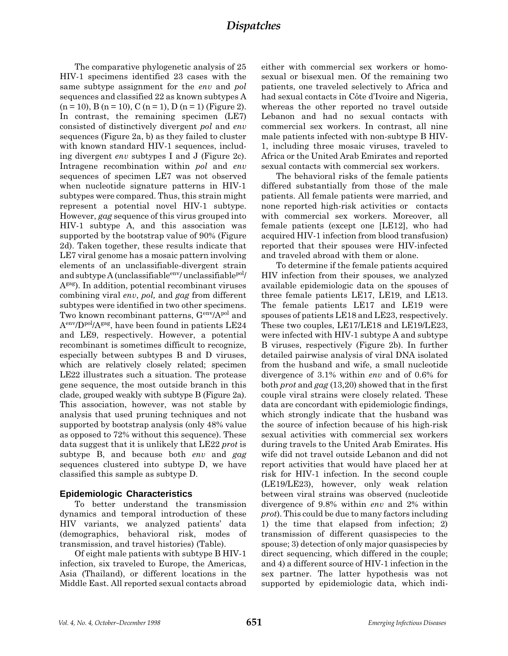The comparative phylogenetic analysis of 25 HIV-1 specimens identified 23 cases with the same subtype assignment for the *env* and *pol* sequences and classified 22 as known subtypes A  $(n = 10)$ , B  $(n = 10)$ , C  $(n = 1)$ , D  $(n = 1)$  (Figure 2). In contrast, the remaining specimen (LE7) consisted of distinctively divergent pol and env sequences (Figure 2a, b) as they failed to cluster with known standard HIV-1 sequences, including divergent env subtypes I and J (Figure 2c). Intragene recombination within pol and env sequences of specimen LE7 was not observed when nucleotide signature patterns in HIV-1 subtypes were compared. Thus, this strain might represent a potential novel HIV-1 subtype. However, gag sequence of this virus grouped into HIV-1 subtype A, and this association was supported by the bootstrap value of 90% (Figure 2d). Taken together, these results indicate that LE7 viral genome has a mosaic pattern involving elements of an unclassifiable-divergent strain and subtype A (unclassifiable  $e^{i n v}$  unclassifiable  $p o l$ Agag). In addition, potential recombinant viruses combining viral env, pol, and gag from different subtypes were identified in two other specimens. Two known recombinant patterns,  $G<sup>env</sup>/A<sup>pol</sup>$  and  $A<sup>env</sup>/D<sup>pol</sup>/A<sup>gag</sup>$ , have been found in patients LE24 and LE9, respectively. However, a potential recombinant is sometimes difficult to recognize, especially between subtypes B and D viruses, which are relatively closely related; specimen LE22 illustrates such a situation. The protease gene sequence, the most outside branch in this clade, grouped weakly with subtype B (Figure 2a). This association, however, was not stable by analysis that used pruning techniques and not supported by bootstrap analysis (only 48% value as opposed to 72% without this sequence). These data suggest that it is unlikely that LE22 prot is subtype B, and because both env and gag sequences clustered into subtype D, we have classified this sample as subtype D.

## **Epidemiologic Characteristics**

To better understand the transmission dynamics and temporal introduction of these HIV variants, we analyzed patients' data (demographics, behavioral risk, modes of transmission, and travel histories) (Table).

Of eight male patients with subtype B HIV-1 infection, six traveled to Europe, the Americas, Asia (Thailand), or different locations in the Middle East. All reported sexual contacts abroad either with commercial sex workers or homosexual or bisexual men. Of the remaining two patients, one traveled selectively to Africa and had sexual contacts in Côte d'Ivoire and Nigeria, whereas the other reported no travel outside Lebanon and had no sexual contacts with commercial sex workers. In contrast, all nine male patients infected with non-subtype B HIV-1, including three mosaic viruses, traveled to Africa or the United Arab Emirates and reported sexual contacts with commercial sex workers.

The behavioral risks of the female patients differed substantially from those of the male patients. All female patients were married, and none reported high-risk activities or contacts with commercial sex workers. Moreover, all female patients (except one [LE12], who had acquired HIV-1 infection from blood transfusion) reported that their spouses were HIV-infected and traveled abroad with them or alone.

To determine if the female patients acquired HIV infection from their spouses, we analyzed available epidemiologic data on the spouses of three female patients LE17, LE19, and LE13. The female patients LE17 and LE19 were spouses of patients LE18 and LE23, respectively. These two couples, LE17/LE18 and LE19/LE23, were infected with HIV-1 subtype A and subtype B viruses, respectively (Figure 2b). In further detailed pairwise analysis of viral DNA isolated from the husband and wife, a small nucleotide divergence of 3.1% within env and of 0.6% for both prot and gag (13,20) showed that in the first couple viral strains were closely related. These data are concordant with epidemiologic findings, which strongly indicate that the husband was the source of infection because of his high-risk sexual activities with commercial sex workers during travels to the United Arab Emirates. His wife did not travel outside Lebanon and did not report activities that would have placed her at risk for HIV-1 infection. In the second couple (LE19/LE23), however, only weak relation between viral strains was observed (nucleotide divergence of 9.8% within env and 2% within prot). This could be due to many factors including 1) the time that elapsed from infection; 2) transmission of different quasispecies to the spouse; 3) detection of only major quasispecies by direct sequencing, which differed in the couple; and 4) a different source of HIV-1 infection in the sex partner. The latter hypothesis was not supported by epidemiologic data, which indi-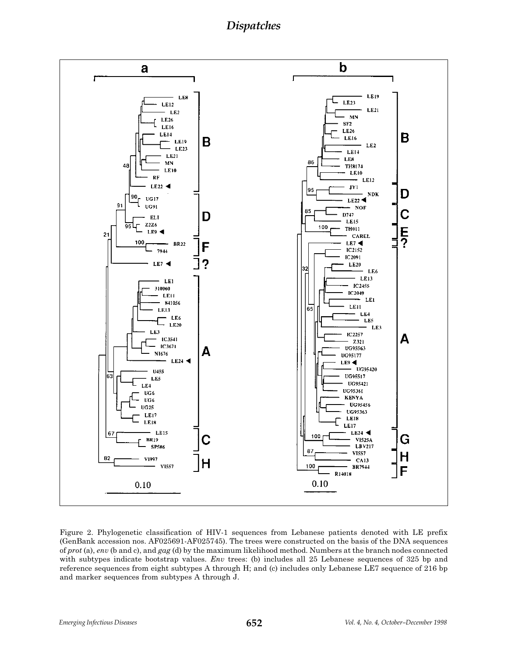**Dispatches** 



Figure 2. Phylogenetic classification of HIV-1 sequences from Lebanese patients denoted with LE prefix (GenBank accession nos. AF025691-AF025745). The trees were constructed on the basis of the DNA sequences of prot (a), env (b and c), and gag (d) by the maximum likelihood method. Numbers at the branch nodes connected with subtypes indicate bootstrap values. Env trees: (b) includes all 25 Lebanese sequences of 325 bp and reference sequences from eight subtypes A through H; and (c) includes only Lebanese LE7 sequence of 216 bp and marker sequences from subtypes A through J.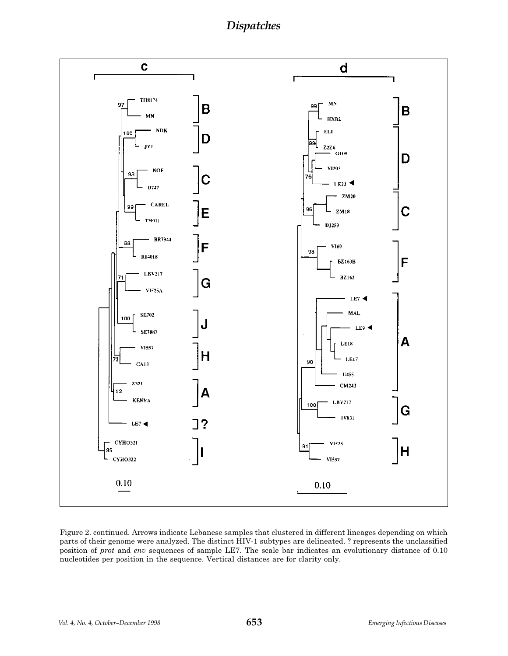**Dispatches** 



Figure 2. continued. Arrows indicate Lebanese samples that clustered in different lineages depending on which parts of their genome were analyzed. The distinct HIV-1 subtypes are delineated. ? represents the unclassified position of prot and env sequences of sample LE7. The scale bar indicates an evolutionary distance of 0.10 nucleotides per position in the sequence. Vertical distances are for clarity only.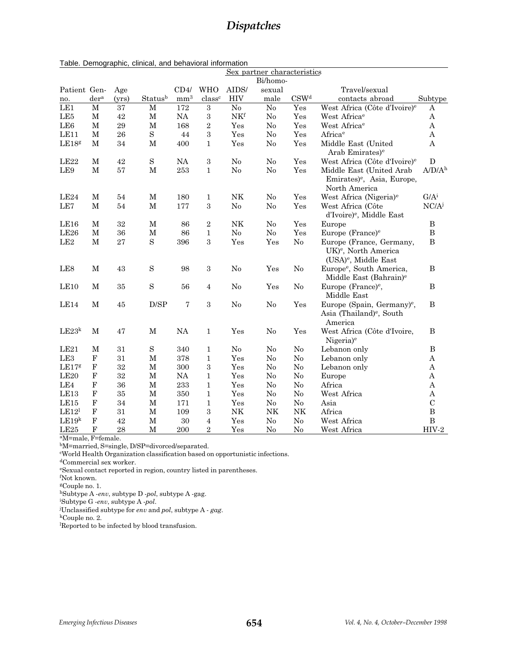|                   |                  |        |             |                 |                         |                | Sex partner characteristics |                  |                                                                                                  |                       |
|-------------------|------------------|--------|-------------|-----------------|-------------------------|----------------|-----------------------------|------------------|--------------------------------------------------------------------------------------------------|-----------------------|
|                   |                  |        |             |                 |                         |                | Bi/homo-                    |                  |                                                                                                  |                       |
| Patient Gen-      |                  | Age    |             | CD4/            | <b>WHO</b>              | AIDS/          | sexual                      |                  | Travel/sexual                                                                                    |                       |
| no.               | der <sup>a</sup> | (yrs)  | Statusb     | mm <sup>3</sup> | class <sup>c</sup>      | <b>HIV</b>     | male                        | CSW <sup>d</sup> | contacts abroad                                                                                  | Subtype               |
| LE1               | $\mathbf M$      | 37     | $\mathbf M$ | 172             | $\,3$                   | $\rm No$       | $\rm No$                    | Yes              | West Africa (Côte d'Ivoire) <sup>e</sup>                                                         | A                     |
| LE <sub>5</sub>   | $\mathbf M$      | 42     | $\mathbf M$ | NA              | $\,3$                   | NKf            | No                          | Yes              | West Africa <sup>e</sup>                                                                         | A                     |
| LE <sub>6</sub>   | $\mathbf M$      | 29     | $\mathbf M$ | 168             | $\boldsymbol{2}$        | Yes            | No                          | Yes              | West Africa <sup>e</sup>                                                                         | A                     |
| LE11              | $\mathbf M$      | 26     | $\rm S$     | 44              | 3                       | Yes            | No                          | Yes              | Africa <sup>e</sup>                                                                              | $\mathbf{A}$          |
| LE18g             | $\mathbf M$      | 34     | $\mathbf M$ | 400             | $\mathbf{1}$            | Yes            | No                          | Yes              | Middle East (United<br>Arab Emirates) <sup>e</sup>                                               | $\bf{A}$              |
| LE22              | М                | 42     | $\rm S$     | <b>NA</b>       | $\rm 3$                 | No             | No                          | Yes              | West Africa (Côte d'Ivoire) <sup>e</sup>                                                         | $\mathbf D$           |
| LE9               | $\mathbf M$      | 57     | $\mathbf M$ | 253             | $\mathbf{1}$            | No             | $\rm No$                    | Yes              | Middle East (United Arab<br>Emirates) <sup>e</sup> , Asia, Europe,<br>North America              | A/D/A <sup>h</sup>    |
| LE <sub>24</sub>  | М                | 54     | М           | 180             | 1                       | NK             | No                          | Yes              | West Africa (Nigeria) <sup>e</sup>                                                               | $G/A^i$               |
| LE7               | М                | 54     | $\mathbf M$ | 177             | 3                       | No             | No                          | Yes              | West Africa (Côte<br>d'Ivoire) <sup>e</sup> , Middle East                                        | $NC/A^j$              |
| LE <sub>16</sub>  | М                | 32     | $\mathbf M$ | 86              | $\boldsymbol{2}$        | $\rm{NK}$      | No                          | Yes              | Europe                                                                                           | $\, {\bf B}$          |
| LE26              | $\mathbf M$      | 36     | М           | 86              | $\mathbf{1}$            | $\rm No$       | No                          | Yes              | Europe (France) <sup>e</sup>                                                                     | $\, {\bf B}$          |
| LE2               | $\mathbf M$      | 27     | S           | 396             | 3                       | Yes            | Yes                         | $\rm No$         | Europe (France, Germany,<br>UK) <sup>e</sup> , North America<br>(USA) <sup>e</sup> , Middle East | $\, {\bf B}$          |
| LE <sub>8</sub>   | $\mathbf M$      | 43     | S           | 98              | 3                       | No             | Yes                         | No               | Europe <sup>e</sup> , South America,<br>Middle East (Bahrain) <sup>e</sup>                       | B                     |
| LE <sub>10</sub>  | М                | 35     | S           | 56              | $\overline{4}$          | No             | Yes                         | No               | Europe (France) <sup>e</sup> ,<br>Middle East                                                    | $\, {\bf B}$          |
| LE14              | $\mathbf M$      | 45     | D/SP        | $\overline{7}$  | 3                       | No             | No                          | Yes              | Europe (Spain, Germany) <sup>e</sup> ,<br>Asia (Thailand) <sup>e</sup> , South<br>America        | B                     |
| LE23 <sup>k</sup> | М                | 47     | М           | NA              | $\mathbf{1}$            | Yes            | No                          | Yes              | West Africa (Côte d'Ivoire,<br>Nigeria) <sup>e</sup>                                             | $\, {\bf B}$          |
| LE21              | М                | 31     | S           | 340             | $\mathbf{1}$            | N <sub>o</sub> | N <sub>o</sub>              | No               | Lebanon only                                                                                     | B                     |
| LE <sub>3</sub>   | ${\bf F}$        | 31     | $\mathbf M$ | 378             | $\mathbf{1}$            | Yes            | No                          | No               | Lebanon only                                                                                     | A                     |
| LE17 <sup>g</sup> | $\mathbf F$      | $32\,$ | $\mathbf M$ | 300             | $\,3$                   | Yes            | No                          | No               | Lebanon only                                                                                     | A                     |
| LE20              | $\mathbf F$      | 32     | $\mathbf M$ | NA              | $\mathbf{1}$            | Yes            | No                          | N <sub>o</sub>   | Europe                                                                                           | $\boldsymbol{\rm{A}}$ |
| LE4               | $\mathbf F$      | 36     | М           | 233             | $\mathbf{1}$            | Yes            | No                          | No               | Africa                                                                                           | A                     |
| LE13              | $\mathbf F$      | 35     | $\mathbf M$ | 350             | $\mathbf{1}$            | Yes            | No                          | No               | West Africa                                                                                      | A                     |
| LE15              | $\mathbf F$      | 34     | $\mathbf M$ | 171             | $\mathbf{1}$            | Yes            | No                          | No               | Asia                                                                                             | $\mathcal{C}$         |
| LE12 <sup>1</sup> | $\mathbf F$      | 31     | $\mathbf M$ | 109             | $\rm 3$                 | $\rm N K$      | NK                          | $\rm N K$        | Africa                                                                                           | $\, {\bf B}$          |
| LE19 <sup>k</sup> | $\mathbf F$      | 42     | $\mathbf M$ | $30\,$          | $\overline{\mathbf{4}}$ | Yes            | $\rm No$                    | $\rm No$         | West Africa                                                                                      | $\, {\bf B}$          |
| LE25              | $\mathbf F$      | 28     | М           | 200             | $\boldsymbol{2}$        | Yes            | No                          | No               | West Africa                                                                                      | $HIV-2$               |

aM=male, F=female.

bM=married, S=single, D/SP=divorced/separated.

c World Health Organization classification based on opportunistic infections.

dCommercial sex worker.

eSexual contact reported in region, country listed in parentheses.

f Not known.

gCouple no. 1.

hSubtype A -env, subtype D -pol, subtype A -gag.

i Subtype G -env, subtype A -pol.

Unclassified subtype for env and pol, subtype A - gag.

kCouple no. 2.

l Reported to be infected by blood transfusion.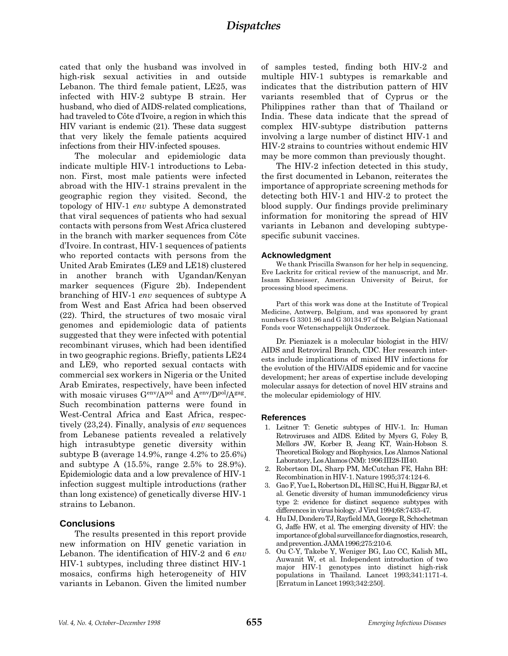cated that only the husband was involved in high-risk sexual activities in and outside Lebanon. The third female patient, LE25, was infected with HIV-2 subtype B strain. Her husband, who died of AIDS-related complications, had traveled to Côte d'Ivoire, a region in which this HIV variant is endemic (21). These data suggest that very likely the female patients acquired infections from their HIV-infected spouses.

The molecular and epidemiologic data indicate multiple HIV-1 introductions to Lebanon. First, most male patients were infected abroad with the HIV-1 strains prevalent in the geographic region they visited. Second, the topology of HIV-1 env subtype A demonstrated that viral sequences of patients who had sexual contacts with persons from West Africa clustered in the branch with marker sequences from Côte d'Ivoire. In contrast, HIV-1 sequences of patients who reported contacts with persons from the United Arab Emirates (LE9 and LE18) clustered in another branch with Ugandan/Kenyan marker sequences (Figure 2b). Independent branching of HIV-1 env sequences of subtype A from West and East Africa had been observed (22). Third, the structures of two mosaic viral genomes and epidemiologic data of patients suggested that they were infected with potential recombinant viruses, which had been identified in two geographic regions. Briefly, patients LE24 and LE9, who reported sexual contacts with commercial sex workers in Nigeria or the United Arab Emirates, respectively, have been infected with mosaic viruses Genv/Apol and Aenv/Dpol/Agag. Such recombination patterns were found in West-Central Africa and East Africa, respectively (23,24). Finally, analysis of env sequences from Lebanese patients revealed a relatively high intrasubtype genetic diversity within subtype B (average 14.9%, range 4.2% to 25.6%) and subtype A (15.5%, range 2.5% to 28.9%). Epidemiologic data and a low prevalence of HIV-1 infection suggest multiple introductions (rather than long existence) of genetically diverse HIV-1 strains to Lebanon.

### **Conclusions**

The results presented in this report provide new information on HIV genetic variation in Lebanon. The identification of HIV-2 and 6 env HIV-1 subtypes, including three distinct HIV-1 mosaics, confirms high heterogeneity of HIV variants in Lebanon. Given the limited number of samples tested, finding both HIV-2 and multiple HIV-1 subtypes is remarkable and indicates that the distribution pattern of HIV variants resembled that of Cyprus or the Philippines rather than that of Thailand or India. These data indicate that the spread of complex HIV-subtype distribution patterns involving a large number of distinct HIV-1 and HIV-2 strains to countries without endemic HIV may be more common than previously thought.

The HIV-2 infection detected in this study, the first documented in Lebanon, reiterates the importance of appropriate screening methods for detecting both HIV-1 and HIV-2 to protect the blood supply. Our findings provide preliminary information for monitoring the spread of HIV variants in Lebanon and developing subtypespecific subunit vaccines.

#### **Acknowledgment**

We thank Priscilla Swanson for her help in sequencing, Eve Lackritz for critical review of the manuscript, and Mr. Issam Khneisser, American University of Beirut, for processing blood specimens.

Part of this work was done at the Institute of Tropical Medicine, Antwerp, Belgium, and was sponsored by grant numbers G 3301.96 and G 30134.97 of the Belgian Nationaal Fonds voor Wetenschappelijk Onderzoek.

Dr. Pieniazek is a molecular biologist in the HIV/ AIDS and Retroviral Branch, CDC. Her research interests include implications of mixed HIV infections for the evolution of the HIV/AIDS epidemic and for vaccine development; her areas of expertise include developing molecular assays for detection of novel HIV strains and the molecular epidemiology of HIV.

#### **References**

- 1. Leitner T: Genetic subtypes of HIV-1. In: Human Retroviruses and AIDS. Edited by Myers G, Foley B, Mellors JW, Korber B, Jeang KT, Wain-Hobson S. Theoretical Biology and Biophysics, Los Alamos National Laboratory, Los Alamos (NM): 1996:III28-III40.
- 2. Robertson DL, Sharp PM, McCutchan FE, Hahn BH: Recombination in HIV-1. Nature 1995;374:124-6.
- 3. Gao F, Yue L, Robertson DL, Hill SC, Hui H, Biggar RJ, et al. Genetic diversity of human immunodeficiency virus type 2: evidence for distinct sequence subtypes with differences in virus biology. J Virol 1994;68:7433-47.
- 4. Hu DJ, Dondero TJ, Rayfield MA, George R, Schochetman G, Jaffe HW, et al. The emerging diversity of HIV: the importance of global surveillance for diagnostics, research, and prevention. JAMA 1996;275:210-6.
- 5. Ou C-Y, Takebe Y, Weniger BG, Luo CC, Kalish ML, Auwanit W, et al. Independent introduction of two major HIV-1 genotypes into distinct high-risk populations in Thailand. Lancet 1993;341:1171-4. [Erratum in Lancet 1993;342:250].